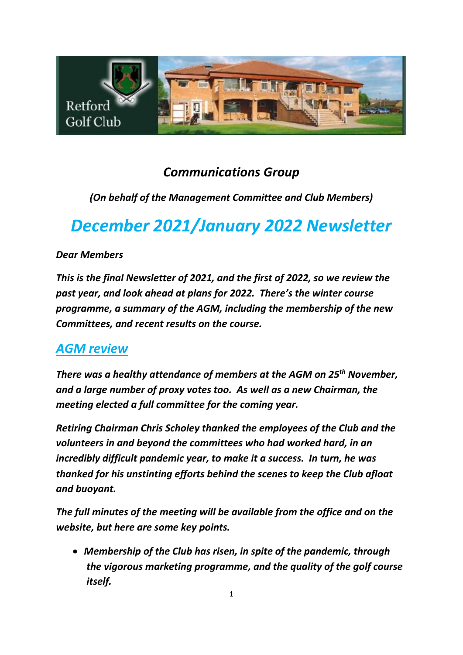

# *Communications Group*

### *(On behalf of the Management Committee and Club Members)*

# *December 2021/January 2022 Newsletter*

### *Dear Members*

*This is the final Newsletter of 2021, and the first of 2022, so we review the past year, and look ahead at plans for 2022. There's the winter course programme, a summary of the AGM, including the membership of the new Committees, and recent results on the course.*

# *AGM review*

*There was a healthy attendance of members at the AGM on 25 th November, and a large number of proxy votes too. As well as a new Chairman, the meeting elected a full committee for the coming year.*

*Retiring Chairman Chris Scholey thanked the employees of the Club and the volunteers in and beyond the committees who had worked hard, in an incredibly difficult pandemic year, to make it a success. In turn, he was thanked for his unstinting efforts behind the scenes to keep the Club afloat and buoyant.* 

*The full minutes of the meeting will be available from the office and on the website, but here are some key points.*

• *Membership of the Club has risen, in spite of the pandemic, through the vigorous marketing programme, and the quality of the golf course itself.*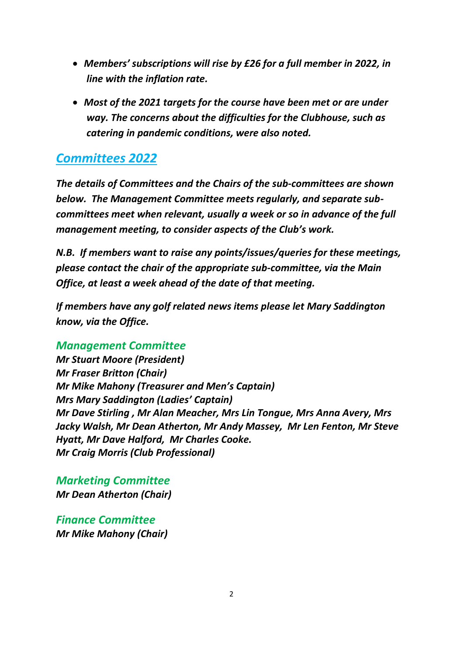- *Members' subscriptions will rise by £26 for a full member in 2022, in line with the inflation rate.*
- *Most of the 2021 targets for the course have been met or are under way. The concerns about the difficulties for the Clubhouse, such as catering in pandemic conditions, were also noted.*

# *Committees 2022*

*The details of Committees and the Chairs of the sub-committees are shown below. The Management Committee meets regularly, and separate subcommittees meet when relevant, usually a week or so in advance of the full management meeting, to consider aspects of the Club's work.* 

*N.B. If members want to raise any points/issues/queries for these meetings, please contact the chair of the appropriate sub-committee, via the Main Office, at least a week ahead of the date of that meeting.* 

*If members have any golf related news items please let Mary Saddington know, via the Office.*

#### *Management Committee*

*Mr Stuart Moore (President) Mr Fraser Britton (Chair) Mr Mike Mahony (Treasurer and Men's Captain) Mrs Mary Saddington (Ladies' Captain) Mr Dave Stirling , Mr Alan Meacher, Mrs Lin Tongue, Mrs Anna Avery, Mrs Jacky Walsh, Mr Dean Atherton, Mr Andy Massey, Mr Len Fenton, Mr Steve Hyatt, Mr Dave Halford, Mr Charles Cooke. Mr Craig Morris (Club Professional)*

*Marketing Committee Mr Dean Atherton (Chair)*

*Finance Committee Mr Mike Mahony (Chair)*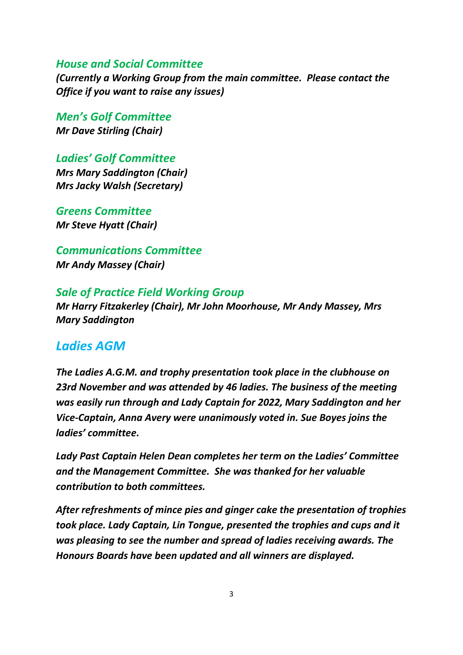#### *House and Social Committee*

*(Currently a Working Group from the main committee. Please contact the Office if you want to raise any issues)*

*Men's Golf Committee Mr Dave Stirling (Chair)*

*Ladies' Golf Committee Mrs Mary Saddington (Chair) Mrs Jacky Walsh (Secretary)*

*Greens Committee Mr Steve Hyatt (Chair)*

*Communications Committee Mr Andy Massey (Chair)*

#### *Sale of Practice Field Working Group*

*Mr Harry Fitzakerley (Chair), Mr John Moorhouse, Mr Andy Massey, Mrs Mary Saddington*

#### *Ladies AGM*

*The Ladies A.G.M. and trophy presentation took place in the clubhouse on 23rd November and was attended by 46 ladies. The business of the meeting was easily run through and Lady Captain for 2022, Mary Saddington and her Vice-Captain, Anna Avery were unanimously voted in. Sue Boyes joins the ladies' committee.*

*Lady Past Captain Helen Dean completes her term on the Ladies' Committee and the Management Committee. She was thanked for her valuable contribution to both committees.*

*After refreshments of mince pies and ginger cake the presentation of trophies took place. Lady Captain, Lin Tongue, presented the trophies and cups and it was pleasing to see the number and spread of ladies receiving awards. The Honours Boards have been updated and all winners are displayed.*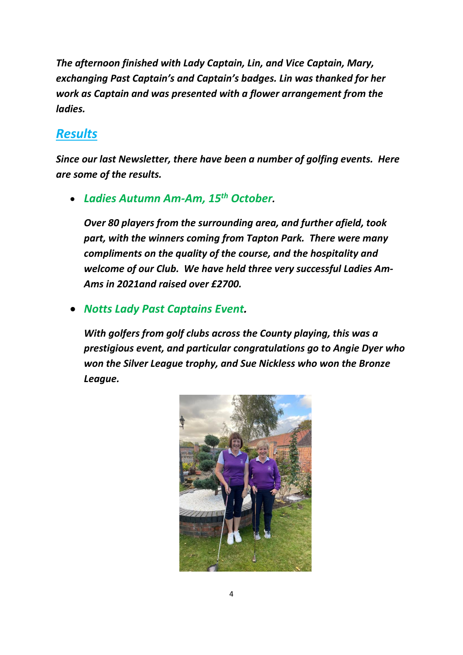*The afternoon finished with Lady Captain, Lin, and Vice Captain, Mary, exchanging Past Captain's and Captain's badges. Lin was thanked for her work as Captain and was presented with a flower arrangement from the ladies.*

# *Results*

*Since our last Newsletter, there have been a number of golfing events. Here are some of the results.*

• *Ladies Autumn Am-Am, 15th October.* 

*Over 80 players from the surrounding area, and further afield, took part, with the winners coming from Tapton Park. There were many compliments on the quality of the course, and the hospitality and welcome of our Club. We have held three very successful Ladies Am-Ams in 2021and raised over £2700.*

### • *Notts Lady Past Captains Event.*

*With golfers from golf clubs across the County playing, this was a prestigious event, and particular congratulations go to Angie Dyer who won the Silver League trophy, and Sue Nickless who won the Bronze League.*

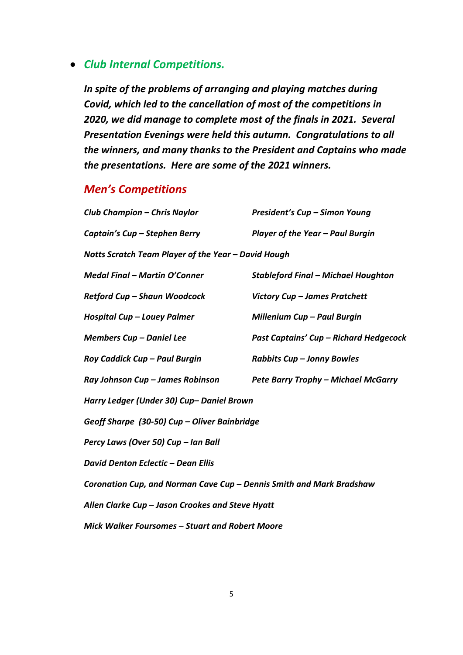#### • *Club Internal Competitions.*

*In spite of the problems of arranging and playing matches during Covid, which led to the cancellation of most of the competitions in 2020, we did manage to complete most of the finals in 2021. Several Presentation Evenings were held this autumn. Congratulations to all the winners, and many thanks to the President and Captains who made the presentations. Here are some of the 2021 winners.*

### *Men's Competitions*

| <b>Club Champion - Chris Naylor</b>                                  | President's Cup - Simon Young              |  |
|----------------------------------------------------------------------|--------------------------------------------|--|
| Captain's Cup - Stephen Berry                                        | Player of the Year - Paul Burgin           |  |
| Notts Scratch Team Player of the Year - David Hough                  |                                            |  |
| <b>Medal Final - Martin O'Conner</b>                                 | <b>Stableford Final - Michael Houghton</b> |  |
| Retford Cup - Shaun Woodcock                                         | Victory Cup - James Pratchett              |  |
| Hospital Cup - Louey Palmer                                          | Millenium Cup - Paul Burgin                |  |
| <b>Members Cup - Daniel Lee</b>                                      | Past Captains' Cup - Richard Hedgecock     |  |
| Roy Caddick Cup - Paul Burgin                                        | Rabbits Cup - Jonny Bowles                 |  |
| Ray Johnson Cup - James Robinson                                     | Pete Barry Trophy - Michael McGarry        |  |
| Harry Ledger (Under 30) Cup- Daniel Brown                            |                                            |  |
| Geoff Sharpe (30-50) Cup - Oliver Bainbridge                         |                                            |  |
| Percy Laws (Over 50) Cup - Ian Ball                                  |                                            |  |
| <b>David Denton Eclectic - Dean Ellis</b>                            |                                            |  |
| Coronation Cup, and Norman Cave Cup - Dennis Smith and Mark Bradshaw |                                            |  |
| Allen Clarke Cup - Jason Crookes and Steve Hyatt                     |                                            |  |
| Mick Walker Foursomes - Stuart and Robert Moore                      |                                            |  |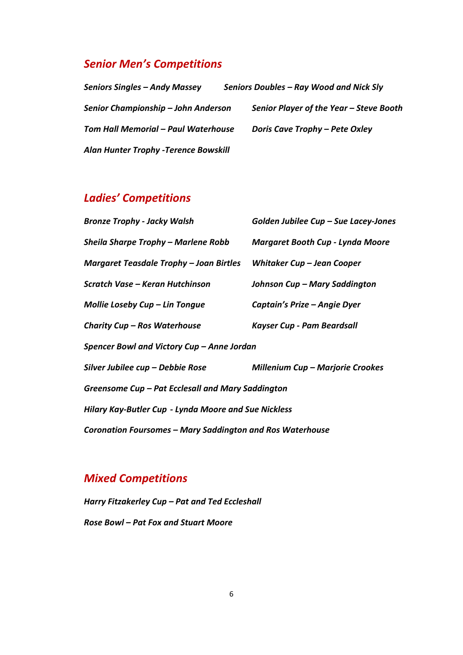### *Senior Men's Competitions*

*Seniors Singles – Andy Massey Seniors Doubles – Ray Wood and Nick Sly Senior Championship – John Anderson Senior Player of the Year – Steve Booth Tom Hall Memorial – Paul Waterhouse Doris Cave Trophy – Pete Oxley Alan Hunter Trophy -Terence Bowskill*

# *Ladies' Competitions*

| <b>Bronze Trophy - Jacky Walsh</b>                          | Golden Jubilee Cup - Sue Lacey-Jones    |  |
|-------------------------------------------------------------|-----------------------------------------|--|
| Sheila Sharpe Trophy – Marlene Robb                         | <b>Margaret Booth Cup - Lynda Moore</b> |  |
| Margaret Teasdale Trophy - Joan Birtles                     | Whitaker Cup - Jean Cooper              |  |
| Scratch Vase – Keran Hutchinson                             | Johnson Cup - Mary Saddington           |  |
| Mollie Loseby Cup - Lin Tongue                              | Captain's Prize - Angie Dyer            |  |
| Charity Cup - Ros Waterhouse                                | Kayser Cup - Pam Beardsall              |  |
| Spencer Bowl and Victory Cup - Anne Jordan                  |                                         |  |
| Silver Jubilee cup – Debbie Rose                            | <b>Millenium Cup - Marjorie Crookes</b> |  |
| Greensome Cup – Pat Ecclesall and Mary Saddington           |                                         |  |
| <b>Hilary Kay-Butler Cup - Lynda Moore and Sue Nickless</b> |                                         |  |
| Coronation Foursomes - Mary Saddington and Ros Waterhouse   |                                         |  |

### *Mixed Competitions*

*Harry Fitzakerley Cup – Pat and Ted Eccleshall Rose Bowl – Pat Fox and Stuart Moore*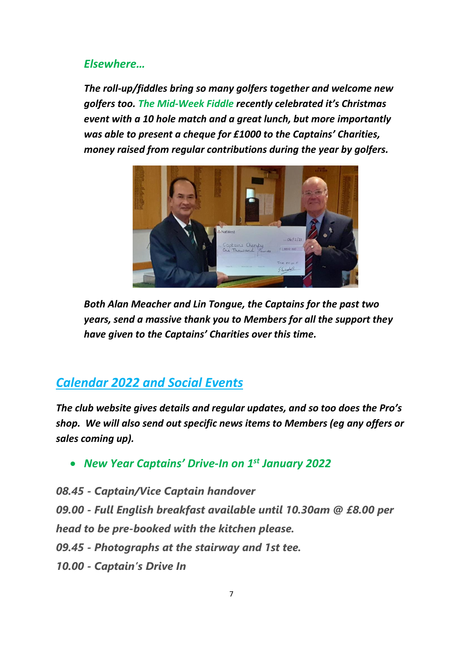### *Elsewhere…*

*The roll-up/fiddles bring so many golfers together and welcome new golfers too. The Mid-Week Fiddle recently celebrated it's Christmas event with a 10 hole match and a great lunch, but more importantly was able to present a cheque for £1000 to the Captains' Charities, money raised from regular contributions during the year by golfers.*



*Both Alan Meacher and Lin Tongue, the Captains for the past two years, send a massive thank you to Members for all the support they have given to the Captains' Charities over this time.*

# *Calendar 2022 and Social Events*

*The club website gives details and regular updates, and so too does the Pro's shop. We will also send out specific news items to Members (eg any offers or sales coming up).*

• *New Year Captains' Drive-In on 1st January 2022*

*08.45 - Captain/Vice Captain handover 09.00 - Full English breakfast available until 10.30am @ £8.00 per head to be pre-booked with the kitchen please. 09.45 - Photographs at the stairway and 1st tee. 10.00 - Captain's Drive In*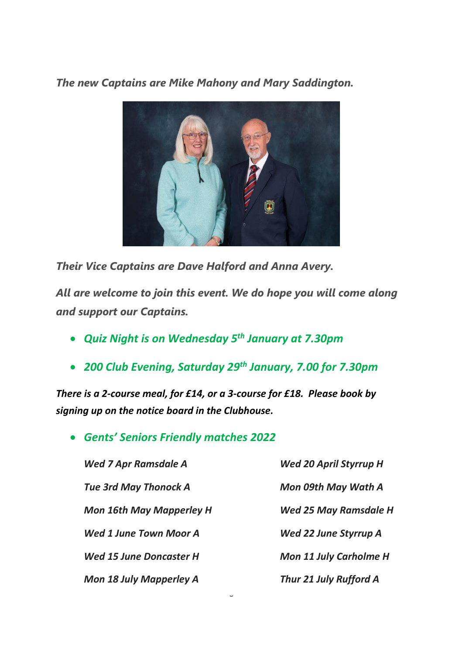*The new Captains are Mike Mahony and Mary Saddington.* 



*Their Vice Captains are Dave Halford and Anna Avery.*

*All are welcome to join this event. We do hope you will come along and support our Captains.*

- *Quiz Night is on Wednesday 5th January at 7.30pm*
- *200 Club Evening, Saturday 29th January, 7.00 for 7.30pm*

J

*There is a 2-course meal, for £14, or a 3-course for £18. Please book by signing up on the notice board in the Clubhouse.*

• *Gents' Seniors Friendly matches 2022*

| <b>Wed 7 Apr Ramsdale A</b>                                                                                                        | <b>Wed 20 April Styrrup F</b><br>Mon 09th May Wath A                                      |                                |                               |
|------------------------------------------------------------------------------------------------------------------------------------|-------------------------------------------------------------------------------------------|--------------------------------|-------------------------------|
| <b>Tue 3rd May Thonock A</b><br><b>Mon 16th May Mapperley H</b><br><b>Wed 1 June Town Moor A</b><br><b>Wed 15 June Doncaster H</b> |                                                                                           |                                |                               |
|                                                                                                                                    | <b>Wed 25 May Ramsdald</b><br><b>Wed 22 June Styrrup A</b><br><b>Mon 11 July Carholme</b> |                                |                               |
|                                                                                                                                    |                                                                                           | <b>Mon 18 July Mapperley A</b> | <b>Thur 21 July Rufford A</b> |

**Wed 20 April Styrrup H** *Mon 09th May Wath A Mon 16th May Mapperley H Wed 25 May Ramsdale H Wed 22 June Styrrup A* 

*Wed 15 June Doncaster H Mon 11 July Carholme H*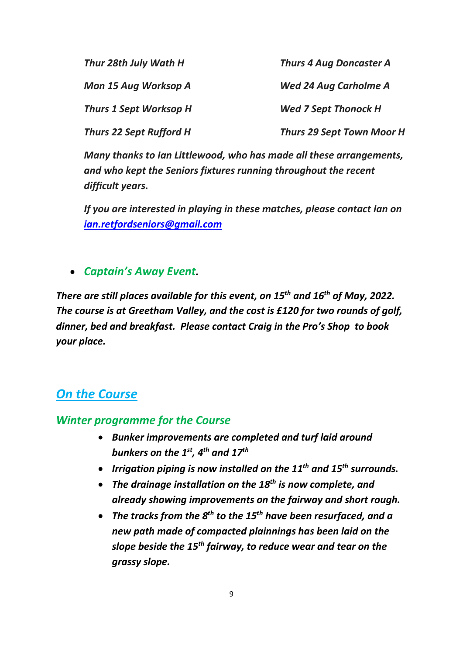| Thur 28th July Wath H          | <b>Thurs 4 Aug Doncaster A</b>   |  |
|--------------------------------|----------------------------------|--|
| Mon 15 Aug Worksop A           | <b>Wed 24 Aug Carholme A</b>     |  |
| <b>Thurs 1 Sept Worksop H</b>  | <b>Wed 7 Sept Thonock H</b>      |  |
| <b>Thurs 22 Sept Rufford H</b> | <b>Thurs 29 Sept Town Moor H</b> |  |

*Many thanks to Ian Littlewood, who has made all these arrangements, and who kept the Seniors fixtures running throughout the recent difficult years.*

*If you are interested in playing in these matches, please contact Ian on [ian.retfordseniors@gmail.com](mailto:ian.retfordseniors@gmail.com)*

• *Captain's Away Event.* 

*There are still places available for this event, on 15th and 16th of May, 2022. The course is at Greetham Valley, and the cost is £120 for two rounds of golf, dinner, bed and breakfast. Please contact Craig in the Pro's Shop to book your place.*

# *On the Course*

### *Winter programme for the Course*

- *Bunker improvements are completed and turf laid around bunkers on the 1st, 4th and 17th*
- *Irrigation piping is now installed on the 11th and 15 th surrounds.*
- *The drainage installation on the 18th is now complete, and already showing improvements on the fairway and short rough.*
- *The tracks from the 8th to the 15th have been resurfaced, and a new path made of compacted plainnings has been laid on the slope beside the 15th fairway, to reduce wear and tear on the grassy slope.*